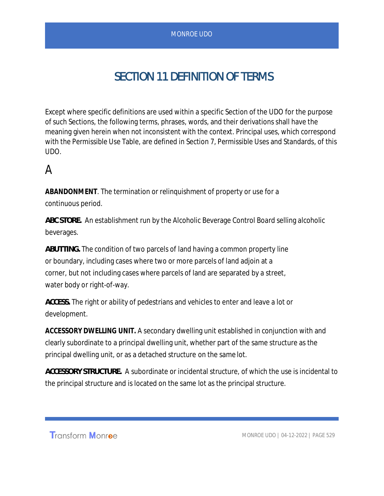# SECTION 11 DEFINITION OF TERMS

Except where specific definitions are used within a specific Section of the UDO for the purpose of such Sections, the following terms, phrases, words, and their derivations shall have the meaning given herein when not inconsistent with the context. Principal uses, which correspond with the Permissible Use Table, are defined in Section 7, Permissible Uses and Standards, of this UDO.

# A

**ABANDONMENT***.* The termination or relinquishment of property or use for a continuous period.

*ABC STORE.* An establishment run by the Alcoholic Beverage Control Board selling alcoholic beverages.

*ABUTTING.* The condition of two parcels of land having a common property line or boundary, including cases where two or more parcels of land adjoin at a corner, but not including cases where parcels of land are separated by a street, water body or right-of-way.

*ACCESS.* The right or ability of pedestrians and vehicles to enter and leave a lot or development.

**ACCESSORY DWELLING UNIT.** A secondary dwelling unit established in conjunction with and clearly subordinate to a principal dwelling unit, whether part of the same structure as the principal dwelling unit, or as a detached structure on the same lot.

*ACCESSORY STRUCTURE.* A subordinate or incidental structure, of which the use is incidental to the principal structure and is located on the same lot as the principal structure.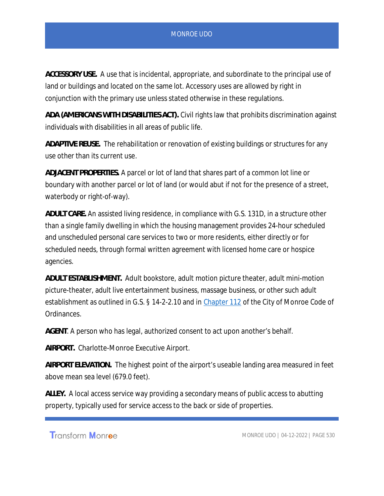*ACCESSORY USE.* A use that is incidental, appropriate, and subordinate to the principal use of land or buildings and located on the same lot. Accessory uses are allowed by right in conjunction with the primary use unless stated otherwise in these regulations.

*ADA (AMERICANS WITH DISABILITIES ACT).* Civil rights law that prohibits discrimination against individuals with disabilities in all areas of public life.

*ADAPTIVE REUSE.* The rehabilitation or renovation of existing buildings or structures for any use other than its current use.

*ADJACENT PROPERTIES.* A parcel or lot of land that shares part of a common lot line or boundary with another parcel or lot of land (or would abut if not for the presence of a street, waterbody or right-of-way).

*ADULT CARE.* An assisted living residence, in compliance with G.S. 131D, in a structure other than a single family dwelling in which the housing management provides 24-hour scheduled and unscheduled personal care services to two or more residents, either directly or for scheduled needs, through formal written agreement with licensed home care or hospice agencies.

*ADULT ESTABLISHMENT.* Adult bookstore, adult motion picture theater, adult mini-motion picture-theater, adult live entertainment business, massage business, or other such adult establishment as outlined in G.S. § 14-2-2.10 and in Chapter 112 of the City of Monroe Code of Ordinances.

*AGENT*. A person who has legal, authorized consent to act upon another's behalf.

*AIRPORT.* Charlotte-Monroe Executive Airport.

*AIRPORT ELEVATION.* The highest point of the airport's useable landing area measured in feet above mean sea level (679.0 feet).

*ALLEY.* A local access service way providing a secondary means of public access to abutting property, typically used for service access to the back or side of properties.

Transform Monroe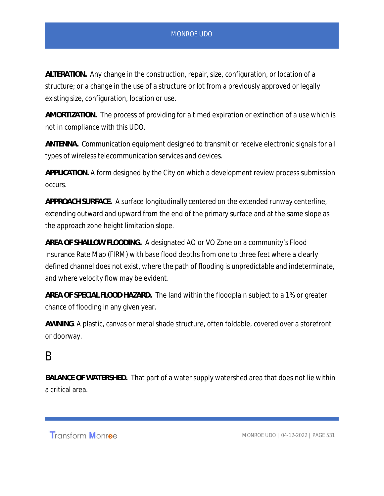*ALTERATION.* Any change in the construction, repair, size, configuration, or location of a structure; or a change in the use of a structure or lot from a previously approved or legally existing size, configuration, location or use.

*AMORTIZATION.* The process of providing for a timed expiration or extinction of a use which is not in compliance with this UDO.

*ANTENNA.* Communication equipment designed to transmit or receive electronic signals for all types of wireless telecommunication services and devices.

*APPLICATION.* A form designed by the City on which a development review process submission occurs.

*APPROACH SURFACE.* A surface longitudinally centered on the extended runway centerline, extending outward and upward from the end of the primary surface and at the same slope as the approach zone height limitation slope.

*AREA OF SHALLOW FLOODING.* A designated AO or VO Zone on a community's Flood Insurance Rate Map (FIRM) with base flood depths from one to three feet where a clearly defined channel does not exist, where the path of flooding is unpredictable and indeterminate, and where velocity flow may be evident.

*AREA OF SPECIAL FLOOD HAZARD.* The land within the floodplain subject to a 1% or greater chance of flooding in any given year.

*AWNING*. A plastic, canvas or metal shade structure, often foldable, covered over a storefront or doorway.

## B

*BALANCE OF WATERSHED.* That part of a water supply watershed area that does not lie within a critical area.

Transform Monroe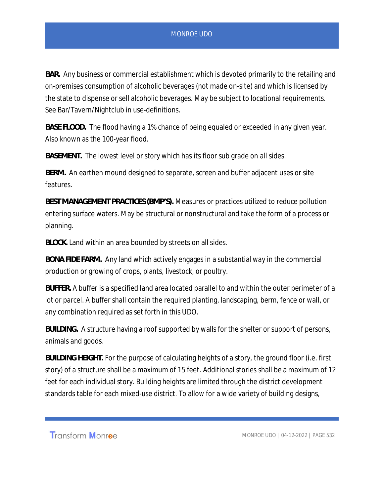*BAR.* Any business or commercial establishment which is devoted primarily to the retailing and on-premises consumption of alcoholic beverages (not made on-site) and which is licensed by the state to dispense or sell alcoholic beverages. May be subject to locational requirements. See Bar/Tavern/Nightclub in use-definitions.

*BASE FLOOD.* The flood having a 1% chance of being equaled or exceeded in any given year. Also known as the 100-year flood.

*BASEMENT.* The lowest level or story which has its floor sub grade on all sides.

*BERM.* An earthen mound designed to separate, screen and buffer adjacent uses or site features.

*BEST MANAGEMENT PRACTICES (BMP'S).* Measures or practices utilized to reduce pollution entering surface waters. May be structural or nonstructural and take the form of a process or planning.

*BLOCK.* Land within an area bounded by streets on all sides.

*BONA FIDE FARM.* Any land which actively engages in a substantial way in the commercial production or growing of crops, plants, livestock, or poultry.

*BUFFER.* A buffer is a specified land area located parallel to and within the outer perimeter of a lot or parcel. A buffer shall contain the required planting, landscaping, berm, fence or wall, or any combination required as set forth in this UDO.

*BUILDING.* A structure having a roof supported by walls for the shelter or support of persons, animals and goods.

*BUILDING HEIGHT.* For the purpose of calculating heights of a story, the ground floor (i.e. first story) of a structure shall be a maximum of 15 feet. Additional stories shall be a maximum of 12 feet for each individual story. Building heights are limited through the district development standards table for each mixed-use district. To allow for a wide variety of building designs,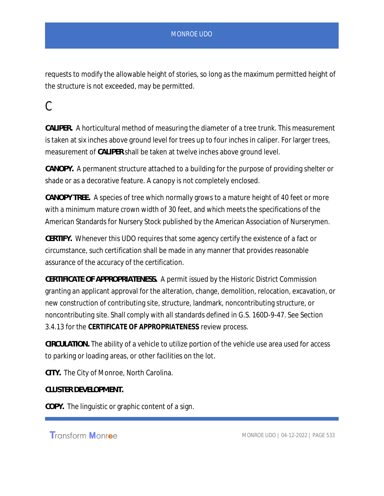requests to modify the allowable height of stories, so long as the maximum permitted height of the structure is not exceeded, may be permitted.

## C

*CALIPER.* A horticultural method of measuring the diameter of a tree trunk. This measurement is taken at six inches above ground level for trees up to four inches in caliper. For larger trees, measurement of *CALIPER* shall be taken at twelve inches above ground level.

*CANOPY.* A permanent structure attached to a building for the purpose of providing shelter or shade or as a decorative feature. A canopy is not completely enclosed.

*CANOPY TREE.* A species of tree which normally grows to a mature height of 40 feet or more with a minimum mature crown width of 30 feet, and which meets the specifications of the American Standards for Nursery Stock published by the American Association of Nurserymen.

*CERTIFY.* Whenever this UDO requires that some agency certify the existence of a fact or circumstance, such certification shall be made in any manner that provides reasonable assurance of the accuracy of the certification.

*CERTIFICATE OF APPROPRIATENESS.* A permit issued by the Historic District Commission granting an applicant approval for the alteration, change, demolition, relocation, excavation, or new construction of contributing site, structure, landmark, noncontributing structure, or noncontributing site. Shall comply with all standards defined in G.S. 160D-9-47. See Section 3.4.13 for the **CERTIFICATE OF APPROPRIATENESS** review process.

*CIRCULATION.* The ability of a vehicle to utilize portion of the vehicle use area used for access to parking or loading areas, or other facilities on the lot.

*CITY.* The City of Monroe, North Carolina.

*CLUSTER DEVELOPMENT.*

*COPY.* The linguistic or graphic content of a sign.

**Transform Monroe**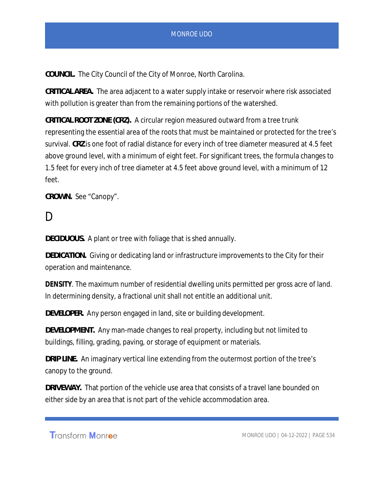*COUNCIL.* The City Council of the City of Monroe, North Carolina.

*CRITICAL AREA.* The area adjacent to a water supply intake or reservoir where risk associated with pollution is greater than from the remaining portions of the watershed.

*CRITICAL ROOT ZONE (CRZ).* A circular region measured outward from a tree trunk representing the essential area of the roots that must be maintained or protected for the tree's survival. *CRZ* is one foot of radial distance for every inch of tree diameter measured at 4.5 feet above ground level, with a minimum of eight feet. For significant trees, the formula changes to 1.5 feet for every inch of tree diameter at 4.5 feet above ground level, with a minimum of 12 feet.

*CROWN.* See "Canopy".

## D.

*DECIDUOUS.* A plant or tree with foliage that is shed annually.

*DEDICATION.* Giving or dedicating land or infrastructure improvements to the City for their operation and maintenance.

**DENSITY**. The maximum number of residential dwelling units permitted per gross acre of land. In determining density, a fractional unit shall not entitle an additional unit.

*DEVELOPER.* Any person engaged in land, site or building development.

*DEVELOPMENT.* Any man-made changes to real property, including but not limited to buildings, filling, grading, paving, or storage of equipment or materials.

*DRIP LINE.* An imaginary vertical line extending from the outermost portion of the tree's canopy to the ground.

*DRIVEWAY.* That portion of the vehicle use area that consists of a travel lane bounded on either side by an area that is not part of the vehicle accommodation area.

Transform Monroe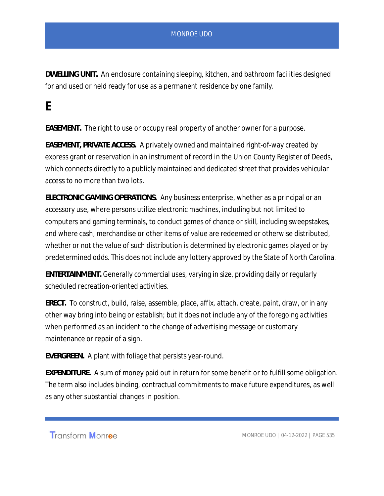*DWELLING UNIT.* An enclosure containing sleeping, kitchen, and bathroom facilities designed for and used or held ready for use as a permanent residence by one family.

**E**

*EASEMENT.* The right to use or occupy real property of another owner for a purpose.

*EASEMENT, PRIVATE ACCESS.* A privately owned and maintained right-of-way created by express grant or reservation in an instrument of record in the Union County Register of Deeds, which connects directly to a publicly maintained and dedicated street that provides vehicular access to no more than two lots.

*ELECTRONIC GAMING OPERATIONS.* Any business enterprise, whether as a principal or an accessory use, where persons utilize electronic machines, including but not limited to computers and gaming terminals, to conduct games of chance or skill, including sweepstakes, and where cash, merchandise or other items of value are redeemed or otherwise distributed, whether or not the value of such distribution is determined by electronic games played or by predetermined odds. This does not include any lottery approved by the State of North Carolina.

*ENTERTAINMENT.* Generally commercial uses, varying in size, providing daily or regularly scheduled recreation-oriented activities.

*ERECT.* To construct, build, raise, assemble, place, affix, attach, create, paint, draw, or in any other way bring into being or establish; but it does not include any of the foregoing activities when performed as an incident to the change of advertising message or customary maintenance or repair of a sign.

*EVERGREEN.* A plant with foliage that persists year-round.

*EXPENDITURE.* A sum of money paid out in return for some benefit or to fulfill some obligation. The term also includes binding, contractual commitments to make future expenditures, as well as any other substantial changes in position.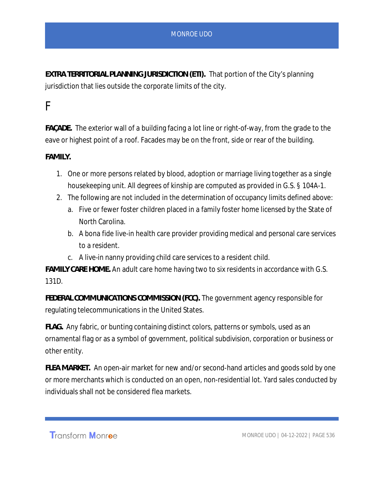*EXTRA TERRITORIAL PLANNING JURISDICTION (ETI).* That portion of the City's planning jurisdiction that lies outside the corporate limits of the city.

## F

*FAÇADE.* The exterior wall of a building facing a lot line or right-of-way, from the grade to the eave or highest point of a roof. Facades may be on the front, side or rear of the building.

#### *FAMILY.*

- 1. One or more persons related by blood, adoption or marriage living together as a single housekeeping unit. All degrees of kinship are computed as provided in G.S. § 104A-1.
- 2. The following are not included in the determination of occupancy limits defined above:
	- a. Five or fewer foster children placed in a family foster home licensed by the State of North Carolina.
	- b. A bona fide live-in health care provider providing medical and personal care services to a resident.
	- c. A live-in nanny providing child care services to a resident child.

*FAMILY CARE HOME.* An adult care home having two to six residents in accordance with G.S. 131D.

*FEDERAL COMMUNICATIONS COMMISSION (FCC).* The government agency responsible for regulating telecommunications in the United States.

*FLAG.* Any fabric, or bunting containing distinct colors, patterns or symbols, used as an ornamental flag or as a symbol of government, political subdivision, corporation or business or other entity.

*FLEA MARKET.* An open-air market for new and/or second-hand articles and goods sold by one or more merchants which is conducted on an open, non-residential lot. Yard sales conducted by individuals shall not be considered flea markets.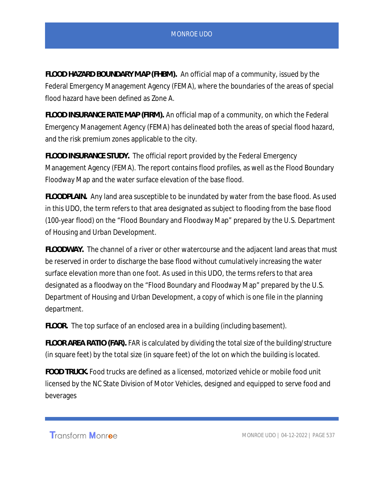*FLOOD HAZARD BOUNDARY MAP (FHBM).* An official map of a community, issued by the Federal Emergency Management Agency (FEMA), where the boundaries of the areas of special flood hazard have been defined as Zone A.

*FLOOD INSURANCE RATE MAP (FIRM).* An official map of a community, on which the Federal Emergency Management Agency (FEMA) has delineated both the areas of special flood hazard, and the risk premium zones applicable to the city.

*FLOOD INSURANCE STUDY.* The official report provided by the Federal Emergency Management Agency (FEMA). The report contains flood profiles, as well as the Flood Boundary Floodway Map and the water surface elevation of the base flood.

*FLOODPLAIN.* Any land area susceptible to be inundated by water from the base flood. As used in this UDO, the term refers to that area designated as subject to flooding from the base flood (100-year flood) on the "Flood Boundary and Floodway Map" prepared by the U.S. Department of Housing and Urban Development.

*FLOODWAY.* The channel of a river or other watercourse and the adjacent land areas that must be reserved in order to discharge the base flood without cumulatively increasing the water surface elevation more than one foot. As used in this UDO, the terms refers to that area designated as a floodway on the "Flood Boundary and Floodway Map" prepared by the U.S. Department of Housing and Urban Development, a copy of which is one file in the planning department.

*FLOOR.* The top surface of an enclosed area in a building (including basement).

*FLOOR AREA RATIO (FAR).* FAR is calculated by dividing the total size of the building/structure (in square feet) by the total size (in square feet) of the lot on which the building is located.

*FOOD TRUCK.* Food trucks are defined as a licensed, motorized vehicle or mobile food unit licensed by the NC State Division of Motor Vehicles, designed and equipped to serve food and beverages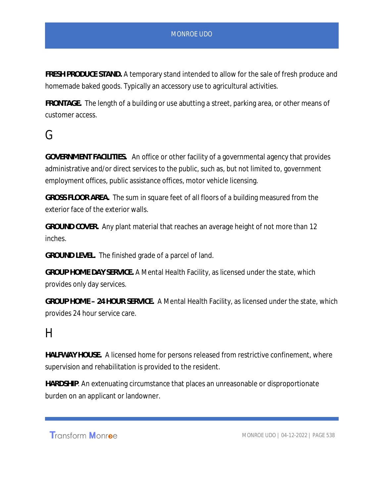*FRESH PRODUCE STAND.* A temporary stand intended to allow for the sale of fresh produce and homemade baked goods. Typically an accessory use to agricultural activities.

*FRONTAGE.* The length of a building or use abutting a street, parking area, or other means of customer access.

## G

*GOVERNMENT FACILITIES.* An office or other facility of a governmental agency that provides administrative and/or direct services to the public, such as, but not limited to, government employment offices, public assistance offices, motor vehicle licensing.

*GROSS FLOOR AREA.* The sum in square feet of all floors of a building measured from the exterior face of the exterior walls.

*GROUND COVER.* Any plant material that reaches an average height of not more than 12 inches.

*GROUND LEVEL.* The finished grade of a parcel of land.

*GROUP HOME DAY SERVICE.* A Mental Health Facility, as licensed under the state, which provides only day services.

*GROUP HOME – 24 HOUR SERVICE.* A Mental Health Facility, as licensed under the state, which provides 24 hour service care.

## $H$

*HALFWAY HOUSE.* A licensed home for persons released from restrictive confinement, where supervision and rehabilitation is provided to the resident.

*HARDSHIP*. An extenuating circumstance that places an unreasonable or disproportionate burden on an applicant or landowner.

**Transform Monroe**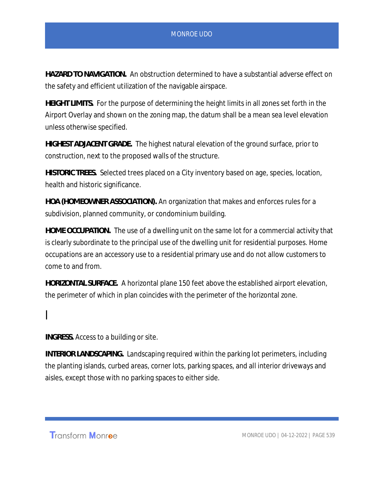*HAZARD TO NAVIGATION.* An obstruction determined to have a substantial adverse effect on the safety and efficient utilization of the navigable airspace.

*HEIGHT LIMITS.* For the purpose of determining the height limits in all zones set forth in the Airport Overlay and shown on the zoning map, the datum shall be a mean sea level elevation unless otherwise specified.

*HIGHEST ADJACENT GRADE.* The highest natural elevation of the ground surface, prior to construction, next to the proposed walls of the structure.

*HISTORIC TREES.* Selected trees placed on a City inventory based on age, species, location, health and historic significance.

*HOA (HOMEOWNER ASSOCIATION).* An organization that makes and enforces rules for a subdivision, planned community, or condominium building.

*HOME OCCUPATION.* The use of a dwelling unit on the same lot for a commercial activity that is clearly subordinate to the principal use of the dwelling unit for residential purposes. Home occupations are an accessory use to a residential primary use and do not allow customers to come to and from.

*HORIZONTAL SURFACE.* A horizontal plane 150 feet above the established airport elevation, the perimeter of which in plan coincides with the perimeter of the horizontal zone.

## I

*INGRESS.* Access to a building or site.

*INTERIOR LANDSCAPING.* Landscaping required within the parking lot perimeters, including the planting islands, curbed areas, corner lots, parking spaces, and all interior driveways and aisles, except those with no parking spaces to either side.

Transform Monroe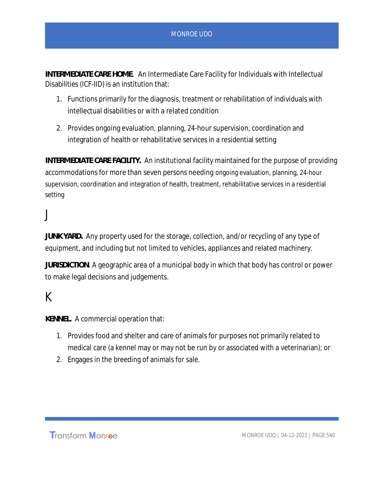*INTERMEDIATE CARE HOME.* An Intermediate Care Facility for Individuals with Intellectual Disabilities (ICF-IID) is an institution that:

- 1. Functions primarily for the diagnosis, treatment or rehabilitation of individuals with intellectual disabilities or with a related condition
- 2. Provides ongoing evaluation, planning, 24-hour supervision, coordination and integration of health or rehabilitative services in a residential setting

*INTERMEDIATE CARE FACILITY.* An institutional facility maintained for the purpose of providing accommodations for more than seven persons needing ongoing evaluation, planning, 24-hour supervision, coordination and integration of health, treatment, rehabilitative services in a residential setting

## J

*JUNK YARD.* Any property used for the storage, collection, and/or recycling of any type of equipment, and including but not limited to vehicles, appliances and related machinery.

*JURISDICTION*. A geographic area of a municipal body in which that body has control or power to make legal decisions and judgements.

## K

*KENNEL.* A commercial operation that:

- 1. Provides food and shelter and care of animals for purposes not primarily related to medical care (a kennel may or may not be run by or associated with a veterinarian); or
- 2. Engages in the breeding of animals for sale.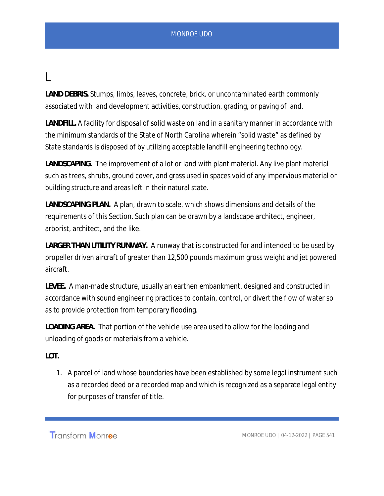## L

*LAND DEBRIS.* Stumps, limbs, leaves, concrete, brick, or uncontaminated earth commonly associated with land development activities, construction, grading, or paving of land.

*LANDFILL.* A facility for disposal of solid waste on land in a sanitary manner in accordance with the minimum standards of the State of North Carolina wherein "solid waste" as defined by State standards is disposed of by utilizing acceptable landfill engineering technology.

*LANDSCAPING.* The improvement of a lot or land with plant material. Any live plant material such as trees, shrubs, ground cover, and grass used in spaces void of any impervious material or building structure and areas left in their natural state.

*LANDSCAPING PLAN.* A plan, drawn to scale, which shows dimensions and details of the requirements of this Section. Such plan can be drawn by a landscape architect, engineer, arborist, architect, and the like.

*LARGER THAN UTILITY RUNWAY.* A runway that is constructed for and intended to be used by propeller driven aircraft of greater than 12,500 pounds maximum gross weight and jet powered aircraft.

*LEVEE.* A man-made structure, usually an earthen embankment, designed and constructed in accordance with sound engineering practices to contain, control, or divert the flow of water so as to provide protection from temporary flooding.

*LOADING AREA.* That portion of the vehicle use area used to allow for the loading and unloading of goods or materials from a vehicle.

*LOT.*

1. A parcel of land whose boundaries have been established by some legal instrument such as a recorded deed or a recorded map and which is recognized as a separate legal entity for purposes of transfer of title.

**Transform Monroe**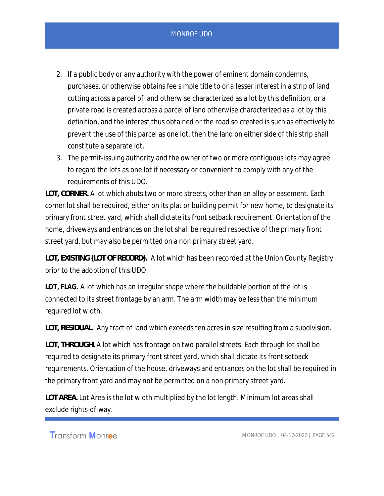- 2. If a public body or any authority with the power of eminent domain condemns, purchases, or otherwise obtains fee simple title to or a lesser interest in a strip of land cutting across a parcel of land otherwise characterized as a lot by this definition, or a private road is created across a parcel of land otherwise characterized as a lot by this definition, and the interest thus obtained or the road so created is such as effectively to prevent the use of this parcel as one lot, then the land on either side of this strip shall constitute a separate lot.
- 3. The permit-issuing authority and the owner of two or more contiguous lots may agree to regard the lots as one lot if necessary or convenient to comply with any of the requirements of this UDO.

*LOT, CORNER.* A lot which abuts two or more streets, other than an alley or easement. Each corner lot shall be required, either on its plat or building permit for new home, to designate its primary front street yard, which shall dictate its front setback requirement. Orientation of the home, driveways and entrances on the lot shall be required respective of the primary front street yard, but may also be permitted on a non primary street yard.

*LOT, EXISTING (LOT OF RECORD).* A lot which has been recorded at the Union County Registry prior to the adoption of this UDO.

**LOT, FLAG.** A lot which has an irregular shape where the buildable portion of the lot is connected to its street frontage by an arm. The arm width may be less than the minimum required lot width.

*LOT, RESIDUAL.* Any tract of land which exceeds ten acres in size resulting from a subdivision.

*LOT, THROUGH.* A lot which has frontage on two parallel streets. Each through lot shall be required to designate its primary front street yard, which shall dictate its front setback requirements. Orientation of the house, driveways and entrances on the lot shall be required in the primary front yard and may not be permitted on a non primary street yard.

*LOT AREA.* Lot Area is the lot width multiplied by the lot length. Minimum lot areas shall exclude rights-of-way.

Transform Monroe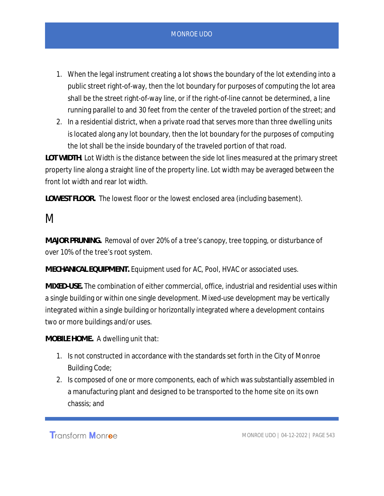- 1. When the legal instrument creating a lot shows the boundary of the lot extending into a public street right-of-way, then the lot boundary for purposes of computing the lot area shall be the street right-of-way line, or if the right-of-line cannot be determined, a line running parallel to and 30 feet from the center of the traveled portion of the street; and
- 2. In a residential district, when a private road that serves more than three dwelling units is located along any lot boundary, then the lot boundary for the purposes of computing the lot shall be the inside boundary of the traveled portion of that road.

*LOT WIDTH*. Lot Width is the distance between the side lot lines measured at the primary street property line along a straight line of the property line. Lot width may be averaged between the front lot width and rear lot width.

*LOWEST FLOOR.* The lowest floor or the lowest enclosed area (including basement).

## M

*MAJOR PRUNING.* Removal of over 20% of a tree's canopy, tree topping, or disturbance of over 10% of the tree's root system.

*MECHANICAL EQUIPMENT.* Equipment used for AC, Pool, HVAC or associated uses.

*MIXED-USE.* The combination of either commercial, office, industrial and residential uses within a single building or within one single development. Mixed-use development may be vertically integrated within a single building or horizontally integrated where a development contains two or more buildings and/or uses.

*MOBILE HOME.* A dwelling unit that:

- 1. Is not constructed in accordance with the standards set forth in the City of Monroe Building Code;
- 2. Is composed of one or more components, each of which was substantially assembled in a manufacturing plant and designed to be transported to the home site on its own chassis; and

Transform Monroe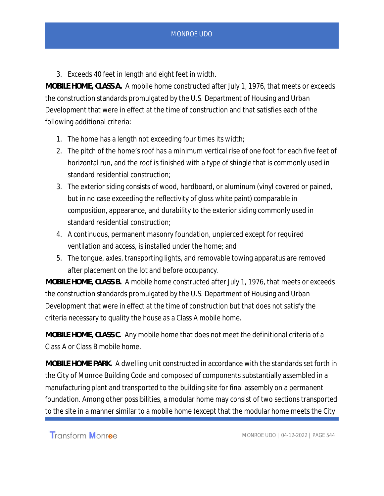3. Exceeds 40 feet in length and eight feet in width.

*MOBILE HOME, CLASS A.* A mobile home constructed after July 1, 1976, that meets or exceeds the construction standards promulgated by the U.S. Department of Housing and Urban Development that were in effect at the time of construction and that satisfies each of the following additional criteria:

- 1. The home has a length not exceeding four times its width;
- 2. The pitch of the home's roof has a minimum vertical rise of one foot for each five feet of horizontal run, and the roof is finished with a type of shingle that is commonly used in standard residential construction;
- 3. The exterior siding consists of wood, hardboard, or aluminum (vinyl covered or pained, but in no case exceeding the reflectivity of gloss white paint) comparable in composition, appearance, and durability to the exterior siding commonly used in standard residential construction;
- 4. A continuous, permanent masonry foundation, unpierced except for required ventilation and access, is installed under the home; and
- 5. The tongue, axles, transporting lights, and removable towing apparatus are removed after placement on the lot and before occupancy.

*MOBILE HOME, CLASS B.* A mobile home constructed after July 1, 1976, that meets or exceeds the construction standards promulgated by the U.S. Department of Housing and Urban Development that were in effect at the time of construction but that does not satisfy the criteria necessary to quality the house as a Class A mobile home.

*MOBILE HOME, CLASS C.* Any mobile home that does not meet the definitional criteria of a Class A or Class B mobile home.

*MOBILE HOME PARK.* A dwelling unit constructed in accordance with the standards set forth in the City of Monroe Building Code and composed of components substantially assembled in a manufacturing plant and transported to the building site for final assembly on a permanent foundation. Among other possibilities, a modular home may consist of two sections transported to the site in a manner similar to a mobile home (except that the modular home meets the City

**Transform Monroe**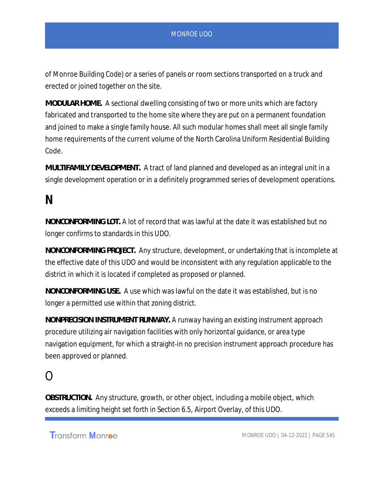of Monroe Building Code) or a series of panels or room sections transported on a truck and erected or joined together on the site.

*MODULAR HOME.* A sectional dwelling consisting of two or more units which are factory fabricated and transported to the home site where they are put on a permanent foundation and joined to make a single family house. All such modular homes shall meet all single family home requirements of the current volume of the North Carolina Uniform Residential Building Code.

*MULTIFAMILY DEVELOPMENT.* A tract of land planned and developed as an integral unit in a single development operation or in a definitely programmed series of development operations.

## **N**

*NONCONFORMING LOT.* A lot of record that was lawful at the date it was established but no longer confirms to standards in this UDO.

*NONCONFORMING PROJECT.* Any structure, development, or undertaking that is incomplete at the effective date of this UDO and would be inconsistent with any regulation applicable to the district in which it is located if completed as proposed or planned.

*NONCONFORMING USE.* A use which was lawful on the date it was established, but is no longer a permitted use within that zoning district.

*NONPRECISION INSTRUMENT RUNWAY.* A runway having an existing instrument approach procedure utilizing air navigation facilities with only horizontal guidance, or area type navigation equipment, for which a straight-in no precision instrument approach procedure has been approved or planned.

## $\Omega$

*OBSTRUCTION.* Any structure, growth, or other object, including a mobile object, which exceeds a limiting height set forth in Section 6.5, Airport Overlay, of this UDO.

Transform Monroe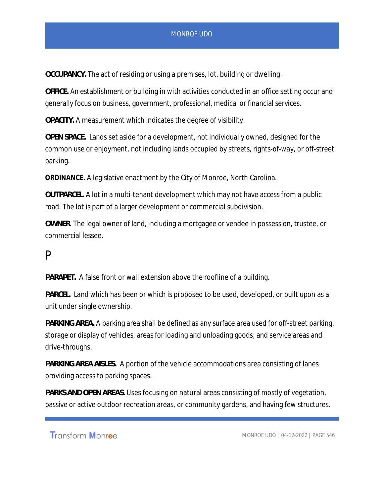*OCCUPANCY.* The act of residing or using a premises, lot, building or dwelling.

*OFFICE.* An establishment or building in with activities conducted in an office setting occur and generally focus on business, government, professional, medical or financial services.

*OPACITY.* A measurement which indicates the degree of visibility.

*OPEN SPACE.* Lands set aside for a development, not individually owned, designed for the common use or enjoyment, not including lands occupied by streets, rights-of-way, or off-street parking.

**ORDINANCE.** A legislative enactment by the City of Monroe, North Carolina.

*OUTPARCEL.* A lot in a multi-tenant development which may not have access from a public road. The lot is part of a larger development or commercial subdivision.

*OWNER*. The legal owner of land, including a mortgagee or vendee in possession, trustee, or commercial lessee.

### P

*PARAPET.* A false front or wall extension above the roofline of a building.

*PARCEL.* Land which has been or which is proposed to be used, developed, or built upon as a unit under single ownership.

*PARKING AREA.* A parking area shall be defined as any surface area used for off-street parking, storage or display of vehicles, areas for loading and unloading goods, and service areas and drive-throughs.

*PARKING AREA AISLES.* A portion of the vehicle accommodations area consisting of lanes providing access to parking spaces.

*PARKS AND OPEN AREAS.* Uses focusing on natural areas consisting of mostly of vegetation, passive or active outdoor recreation areas, or community gardens, and having few structures.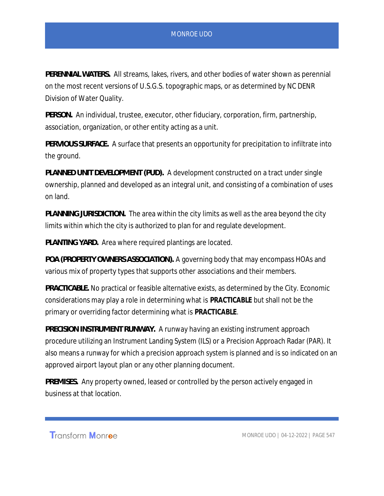*PERENNIAL WATERS.* All streams, lakes, rivers, and other bodies of water shown as perennial on the most recent versions of U.S.G.S. topographic maps, or as determined by NC DENR Division of Water Quality.

*PERSON.* An individual, trustee, executor, other fiduciary, corporation, firm, partnership, association, organization, or other entity acting as a unit.

*PERVIOUS SURFACE.* A surface that presents an opportunity for precipitation to infiltrate into the ground.

*PLANNED UNIT DEVELOPMENT (PUD).* A development constructed on a tract under single ownership, planned and developed as an integral unit, and consisting of a combination of uses on land.

*PLANNING JURISDICTION.* The area within the city limits as well as the area beyond the city limits within which the city is authorized to plan for and regulate development.

*PLANTING YARD.* Area where required plantings are located.

*POA (PROPERTY OWNERS ASSOCIATION).* A governing body that may encompass HOAs and various mix of property types that supports other associations and their members.

*PRACTICABLE.* No practical or feasible alternative exists, as determined by the City. Economic considerations may play a role in determining what is **PRACTICABLE** but shall not be the primary or overriding factor determining what is **PRACTICABLE**.

*PRECISION INSTRUMENT RUNWAY.* A runway having an existing instrument approach procedure utilizing an Instrument Landing System (ILS) or a Precision Approach Radar (PAR). It also means a runway for which a precision approach system is planned and is so indicated on an approved airport layout plan or any other planning document.

*PREMISES.* Any property owned, leased or controlled by the person actively engaged in business at that location.

Transform Monroe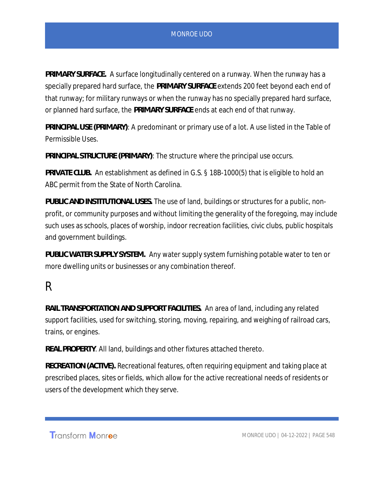*PRIMARY SURFACE.* A surface longitudinally centered on a runway. When the runway has a specially prepared hard surface, the *PRIMARY SURFACE* extends 200 feet beyond each end of that runway; for military runways or when the runway has no specially prepared hard surface, or planned hard surface, the *PRIMARY SURFACE* ends at each end of that runway.

*PRINCIPAL USE (PRIMARY)*: A predominant or primary use of a lot. A use listed in the Table of Permissible Uses.

*PRINCIPAL STRUCTURE (PRIMARY)*: The structure where the principal use occurs.

*PRIVATE CLUB.* An establishment as defined in G.S. § 18B-1000(5) that is eligible to hold an ABC permit from the State of North Carolina.

*PUBLIC AND INSTITUTIONAL USES.* The use of land, buildings or structures for a public, nonprofit, or community purposes and without limiting the generality of the foregoing, may include such uses as schools, places of worship, indoor recreation facilities, civic clubs, public hospitals and government buildings.

*PUBLIC WATER SUPPLY SYSTEM.* Any water supply system furnishing potable water to ten or more dwelling units or businesses or any combination thereof.

## R

*RAIL TRANSPORTATION AND SUPPORT FACILITIES.* An area of land, including any related support facilities, used for switching, storing, moving, repairing, and weighing of railroad cars, trains, or engines.

*REAL PROPERTY*. All land, buildings and other fixtures attached thereto.

*RECREATION (ACTIVE).* Recreational features, often requiring equipment and taking place at prescribed places, sites or fields, which allow for the active recreational needs of residents or users of the development which they serve.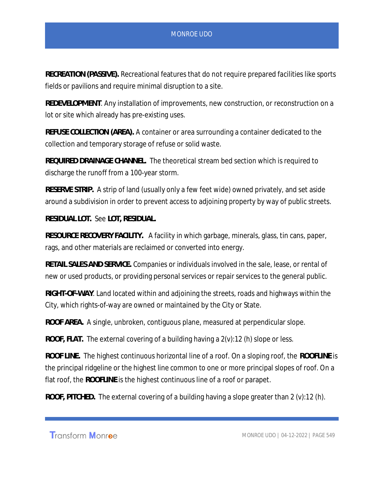*RECREATION (PASSIVE).* Recreational features that do not require prepared facilities like sports fields or pavilions and require minimal disruption to a site.

*REDEVELOPMENT*. Any installation of improvements, new construction, or reconstruction on a lot or site which already has pre-existing uses.

*REFUSE COLLECTION (AREA).* A container or area surrounding a container dedicated to the collection and temporary storage of refuse or solid waste.

*REQUIRED DRAINAGE CHANNEL.* The theoretical stream bed section which is required to discharge the runoff from a 100-year storm.

*RESERVE STRIP.* A strip of land (usually only a few feet wide) owned privately, and set aside around a subdivision in order to prevent access to adjoining property by way of public streets.

*RESIDUAL LOT.* See *LOT, RESIDUAL.*

*RESOURCE RECOVERY FACILITY.* A facility in which garbage, minerals, glass, tin cans, paper, rags, and other materials are reclaimed or converted into energy.

*RETAIL SALES AND SERVICE.* Companies or individuals involved in the sale, lease, or rental of new or used products, or providing personal services or repair services to the general public.

*RIGHT-OF-WAY*. Land located within and adjoining the streets, roads and highways within the City, which rights-of-way are owned or maintained by the City or State.

*ROOF AREA.* A single, unbroken, contiguous plane, measured at perpendicular slope.

*ROOF, FLAT.* The external covering of a building having a 2(v):12 (h) slope or less.

*ROOF LINE.* The highest continuous horizontal line of a roof. On a sloping roof, the *ROOFLINE* is the principal ridgeline or the highest line common to one or more principal slopes of roof. On a flat roof, the *ROOFLINE* is the highest continuous line of a roof or parapet.

*ROOF, PITCHED.* The external covering of a building having a slope greater than 2 (v):12 (h).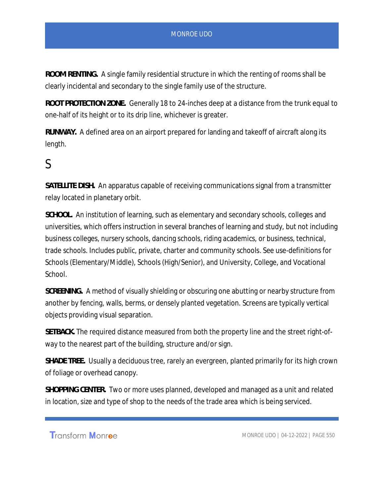*ROOM RENTING.* A single family residential structure in which the renting of rooms shall be clearly incidental and secondary to the single family use of the structure.

*ROOT PROTECTION ZONE.* Generally 18 to 24-inches deep at a distance from the trunk equal to one-half of its height or to its drip line, whichever is greater.

*RUNWAY.* A defined area on an airport prepared for landing and takeoff of aircraft along its length.

## S

*SATELLITE DISH.* An apparatus capable of receiving communications signal from a transmitter relay located in planetary orbit.

*SCHOOL.* An institution of learning, such as elementary and secondary schools, colleges and universities, which offers instruction in several branches of learning and study, but not including business colleges, nursery schools, dancing schools, riding academics, or business, technical, trade schools. Includes public, private, charter and community schools. See use-definitions for Schools (Elementary/Middle), Schools (High/Senior), and University, College, and Vocational School.

*SCREENING.* A method of visually shielding or obscuring one abutting or nearby structure from another by fencing, walls, berms, or densely planted vegetation. Screens are typically vertical objects providing visual separation.

*SETBACK.* The required distance measured from both the property line and the street right-ofway to the nearest part of the building, structure and/or sign.

*SHADE TREE.* Usually a deciduous tree, rarely an evergreen, planted primarily for its high crown of foliage or overhead canopy.

*SHOPPING CENTER.* Two or more uses planned, developed and managed as a unit and related in location, size and type of shop to the needs of the trade area which is being serviced.

Transform Monroe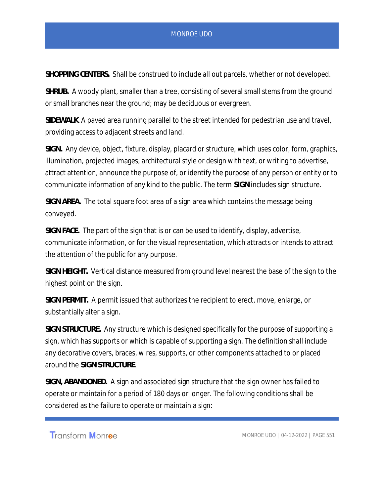*SHOPPING CENTERS.* Shall be construed to include all out parcels, whether or not developed.

*SHRUB.* A woody plant, smaller than a tree, consisting of several small stems from the ground or small branches near the ground; may be deciduous or evergreen.

*SIDEWALK*. A paved area running parallel to the street intended for pedestrian use and travel, providing access to adjacent streets and land.

*SIGN.* Any device, object, fixture, display, placard or structure, which uses color, form, graphics, illumination, projected images, architectural style or design with text, or writing to advertise, attract attention, announce the purpose of, or identify the purpose of any person or entity or to communicate information of any kind to the public. The term *SIGN* includes sign structure.

*SIGN AREA.* The total square foot area of a sign area which contains the message being conveyed.

*SIGN FACE.* The part of the sign that is or can be used to identify, display, advertise, communicate information, or for the visual representation, which attracts or intends to attract the attention of the public for any purpose.

*SIGN HEIGHT.* Vertical distance measured from ground level nearest the base of the sign to the highest point on the sign.

*SIGN PERMIT.* A permit issued that authorizes the recipient to erect, move, enlarge, or substantially alter a sign.

*SIGN STRUCTURE.* Any structure which is designed specifically for the purpose of supporting a sign, which has supports or which is capable of supporting a sign. The definition shall include any decorative covers, braces, wires, supports, or other components attached to or placed around the *SIGN STRUCTURE*.

*SIGN, ABANDONED.* A sign and associated sign structure that the sign owner has failed to operate or maintain for a period of 180 days or longer. The following conditions shall be considered as the failure to operate or maintain a sign:

Transform Monroe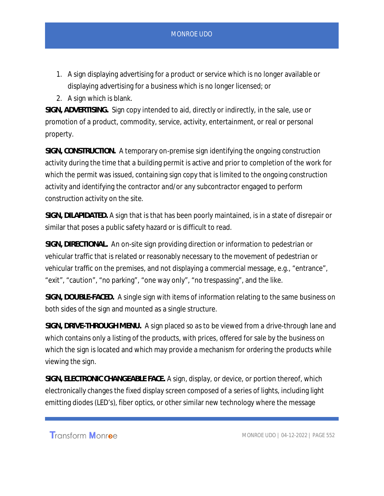- 1. A sign displaying advertising for a product or service which is no longer available or displaying advertising for a business which is no longer licensed; or
- 2. A sign which is blank.

*SIGN, ADVERTISING.* Sign copy intended to aid, directly or indirectly, in the sale, use or promotion of a product, commodity, service, activity, entertainment, or real or personal property.

*SIGN, CONSTRUCTION.* A temporary on-premise sign identifying the ongoing construction activity during the time that a building permit is active and prior to completion of the work for which the permit was issued, containing sign copy that is limited to the ongoing construction activity and identifying the contractor and/or any subcontractor engaged to perform construction activity on the site.

*SIGN, DILAPIDATED.* A sign that is that has been poorly maintained, is in a state of disrepair or similar that poses a public safety hazard or is difficult to read.

*SIGN, DIRECTIONAL.* An on-site sign providing direction or information to pedestrian or vehicular traffic that is related or reasonably necessary to the movement of pedestrian or vehicular traffic on the premises, and not displaying a commercial message, e.g., "entrance", "exit", "caution", "no parking", "one way only", "no trespassing", and the like.

*SIGN, DOUBLE-FACED.* A single sign with items of information relating to the same business on both sides of the sign and mounted as a single structure.

*SIGN, DRIVE-THROUGH MENU.* A sign placed so as to be viewed from a drive-through lane and which contains only a listing of the products, with prices, offered for sale by the business on which the sign is located and which may provide a mechanism for ordering the products while viewing the sign.

*SIGN, ELECTRONIC CHANGEABLE FACE.* A sign, display, or device, or portion thereof, which electronically changes the fixed display screen composed of a series of lights, including light emitting diodes (LED's), fiber optics, or other similar new technology where the message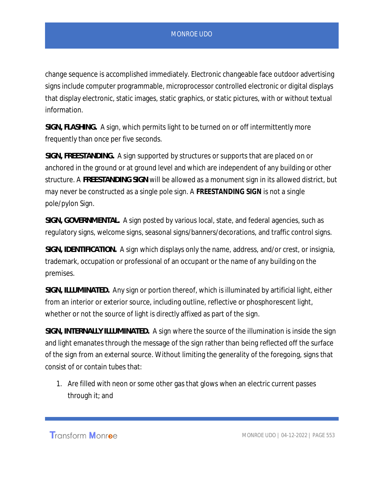change sequence is accomplished immediately. Electronic changeable face outdoor advertising signs include computer programmable, microprocessor controlled electronic or digital displays that display electronic, static images, static graphics, or static pictures, with or without textual information.

*SIGN, FLASHING.* A sign, which permits light to be turned on or off intermittently more frequently than once per five seconds.

*SIGN, FREESTANDING.* A sign supported by structures or supports that are placed on or anchored in the ground or at ground level and which are independent of any building or other structure. A *FREESTANDING SIGN* will be allowed as a monument sign in its allowed district, but may never be constructed as a single pole sign. A **FREESTANDING SIGN** is not a single pole/pylon Sign.

*SIGN, GOVERNMENTAL.* A sign posted by various local, state, and federal agencies, such as regulatory signs, welcome signs, seasonal signs/banners/decorations, and traffic control signs.

*SIGN, IDENTIFICATION.* A sign which displays only the name, address, and/or crest, or insignia, trademark, occupation or professional of an occupant or the name of any building on the premises.

*SIGN, ILLUMINATED.* Any sign or portion thereof, which is illuminated by artificial light, either from an interior or exterior source, including outline, reflective or phosphorescent light, whether or not the source of light is directly affixed as part of the sign.

*SIGN, INTERNALLY ILLUMINATED.* A sign where the source of the illumination is inside the sign and light emanates through the message of the sign rather than being reflected off the surface of the sign from an external source. Without limiting the generality of the foregoing, signs that consist of or contain tubes that:

1. Are filled with neon or some other gas that glows when an electric current passes through it; and

Transform Monroe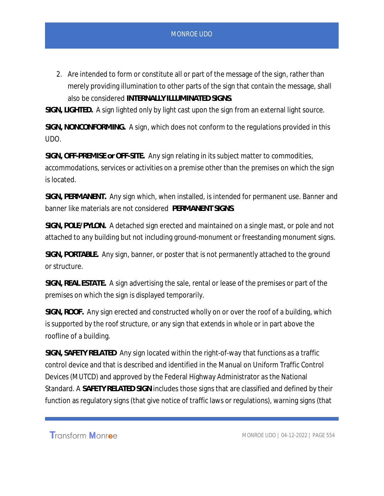2. Are intended to form or constitute all or part of the message of the sign, rather than merely providing illumination to other parts of the sign that contain the message, shall also be considered *INTERNALLY ILLUMINATED SIGNS*.

*SIGN, LIGHTED.* A sign lighted only by light cast upon the sign from an external light source.

*SIGN, NONCONFORMING.* A sign, which does not conform to the regulations provided in this UDO.

*SIGN, OFF-PREMISE or OFF-SITE.* Any sign relating in its subject matter to commodities, accommodations, services or activities on a premise other than the premises on which the sign is located.

*SIGN, PERMANENT.* Any sign which, when installed, is intended for permanent use. Banner and banner like materials are not considered *PERMANENT SIGNS*.

*SIGN, POLE/PYLON.* A detached sign erected and maintained on a single mast, or pole and not attached to any building but not including ground-monument or freestanding monument signs.

*SIGN, PORTABLE.* Any sign, banner, or poster that is not permanently attached to the ground or structure.

*SIGN, REAL ESTATE.* A sign advertising the sale, rental or lease of the premises or part of the premises on which the sign is displayed temporarily.

*SIGN, ROOF.* Any sign erected and constructed wholly on or over the roof of a building, which is supported by the roof structure, or any sign that extends in whole or in part above the roofline of a building.

*SIGN, SAFETY RELATED* Any sign located within the right-of-way that functions as a traffic control device and that is described and identified in the Manual on Uniform Traffic Control Devices (MUTCD) and approved by the Federal Highway Administrator as the National Standard. A *SAFETY RELATED SIGN* includes those signs that are classified and defined by their function as regulatory signs (that give notice of traffic laws or regulations), warning signs (that

Transform Monroe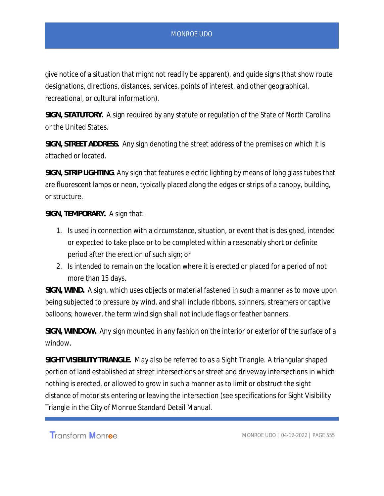give notice of a situation that might not readily be apparent), and guide signs (that show route designations, directions, distances, services, points of interest, and other geographical, recreational, or cultural information).

*SIGN, STATUTORY.* A sign required by any statute or regulation of the State of North Carolina or the United States.

*SIGN, STREET ADDRESS.* Any sign denoting the street address of the premises on which it is attached or located.

*SIGN, STRIP LIGHTING*. Any sign that features electric lighting by means of long glass tubes that are fluorescent lamps or neon, typically placed along the edges or strips of a canopy, building, or structure.

*SIGN, TEMPORARY.* A sign that:

- 1. Is used in connection with a circumstance, situation, or event that is designed, intended or expected to take place or to be completed within a reasonably short or definite period after the erection of such sign; or
- 2. Is intended to remain on the location where it is erected or placed for a period of not more than 15 days.

*SIGN, WIND.* A sign, which uses objects or material fastened in such a manner as to move upon being subjected to pressure by wind, and shall include ribbons, spinners, streamers or captive balloons; however, the term wind sign shall not include flags or feather banners.

*SIGN, WINDOW.* Any sign mounted in any fashion on the interior or exterior of the surface of a window.

*SIGHT VISIBILITY TRIANGLE. May also be referred to as a Sight Triangle.* A triangular shaped portion of land established at street intersections or street and driveway intersections in which nothing is erected, or allowed to grow in such a manner as to limit or obstruct the sight distance of motorists entering or leaving the intersection (see specifications for Sight Visibility Triangle in the City of Monroe Standard Detail Manual.

Transform Monroe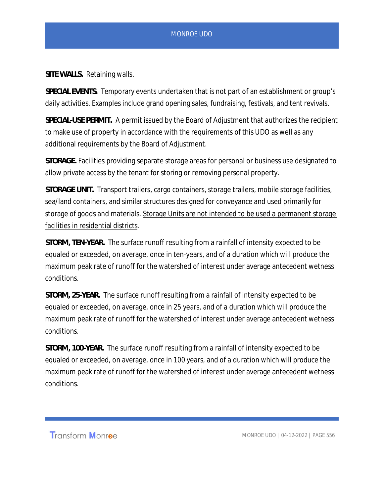*SITE WALLS.* Retaining walls.

*SPECIAL EVENTS.* Temporary events undertaken that is not part of an establishment or group's daily activities. Examples include grand opening sales, fundraising, festivals, and tent revivals.

*SPECIAL-USE PERMIT.* A permit issued by the Board of Adjustment that authorizes the recipient to make use of property in accordance with the requirements of this UDO as well as any additional requirements by the Board of Adjustment.

*STORAGE.* Facilities providing separate storage areas for personal or business use designated to allow private access by the tenant for storing or removing personal property.

*STORAGE UNIT.* Transport trailers, cargo containers, storage trailers, mobile storage facilities, sea/land containers, and similar structures designed for conveyance and used primarily for storage of goods and materials. Storage Units are not intended to be used a permanent storage facilities in residential districts.

*STORM, TEN-YEAR.* The surface runoff resulting from a rainfall of intensity expected to be equaled or exceeded, on average, once in ten-years, and of a duration which will produce the maximum peak rate of runoff for the watershed of interest under average antecedent wetness conditions.

*STORM, 25-YEAR.* The surface runoff resulting from a rainfall of intensity expected to be equaled or exceeded, on average, once in 25 years, and of a duration which will produce the maximum peak rate of runoff for the watershed of interest under average antecedent wetness conditions.

*STORM, 100-YEAR.* The surface runoff resulting from a rainfall of intensity expected to be equaled or exceeded, on average, once in 100 years, and of a duration which will produce the maximum peak rate of runoff for the watershed of interest under average antecedent wetness conditions.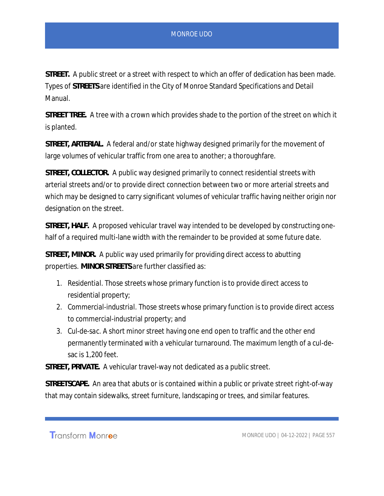*STREET.* A public street or a street with respect to which an offer of dedication has been made. Types of *STREETS* are identified in the City of Monroe Standard Specifications and Detail Manual.

*STREET TREE.* A tree with a crown which provides shade to the portion of the street on which it is planted.

*STREET, ARTERIAL.* A federal and/or state highway designed primarily for the movement of large volumes of vehicular traffic from one area to another; a thoroughfare.

*STREET, COLLECTOR.* A public way designed primarily to connect residential streets with arterial streets and/or to provide direct connection between two or more arterial streets and which may be designed to carry significant volumes of vehicular traffic having neither origin nor designation on the street.

*STREET, HALF.* A proposed vehicular travel way intended to be developed by constructing onehalf of a required multi-lane width with the remainder to be provided at some future date.

*STREET, MINOR.* A public way used primarily for providing direct access to abutting properties. *MINOR STREETS* are further classified as:

- 1. *Residential.* Those streets whose primary function is to provide direct access to residential property;
- 2. *Commercial-industrial.* Those streets whose primary function is to provide direct access to commercial-industrial property; and
- 3. *Cul-de-sac.* A short minor street having one end open to traffic and the other end permanently terminated with a vehicular turnaround. The maximum length of a cul-desac is 1,200 feet.

*STREET, PRIVATE.* A vehicular travel-way not dedicated as a public street.

*STREETSCAPE.* An area that abuts or is contained within a public or private street right-of-way that may contain sidewalks, street furniture, landscaping or trees, and similar features.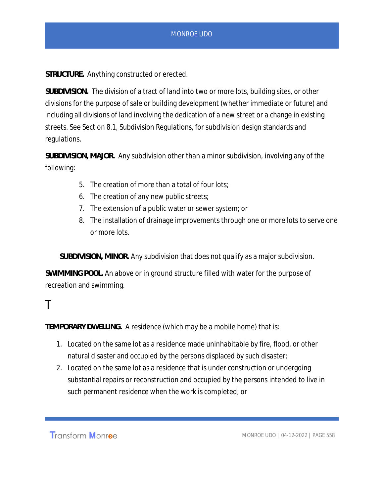*STRUCTURE.* Anything constructed or erected.

*SUBDIVISION.* The division of a tract of land into two or more lots, building sites, or other divisions for the purpose of sale or building development (whether immediate or future) and including all divisions of land involving the dedication of a new street or a change in existing streets. See Section 8.1, Subdivision Regulations, for subdivision design standards and regulations.

*SUBDIVISION, MAJOR.* Any subdivision other than a minor subdivision, involving any of the following:

- 5. The creation of more than a total of four lots;
- 6. The creation of any new public streets;
- 7. The extension of a public water or sewer system; or
- 8. The installation of drainage improvements through one or more lots to serve one or more lots.

*SUBDIVISION, MINOR.* Any subdivision that does not qualify as a major subdivision.

*SWIMMING POOL.* An above or in ground structure filled with water for the purpose of recreation and swimming.

### T

*TEMPORARY DWELLING.* A residence (which may be a mobile home) that is:

- 1. Located on the same lot as a residence made uninhabitable by fire, flood, or other natural disaster and occupied by the persons displaced by such disaster;
- 2. Located on the same lot as a residence that is under construction or undergoing substantial repairs or reconstruction and occupied by the persons intended to live in such permanent residence when the work is completed; or

**Transform Monroe**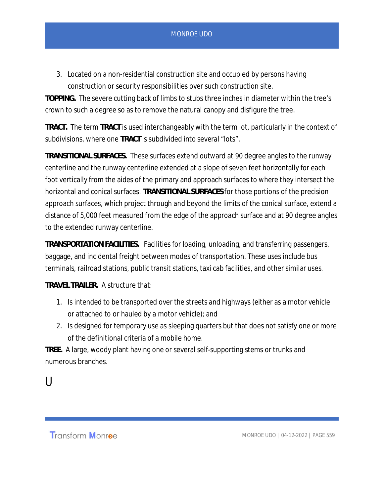3. Located on a non-residential construction site and occupied by persons having construction or security responsibilities over such construction site.

*TOPPING.* The severe cutting back of limbs to stubs three inches in diameter within the tree's crown to such a degree so as to remove the natural canopy and disfigure the tree.

*TRACT.* The term *TRACT* is used interchangeably with the term lot, particularly in the context of subdivisions, where one *TRACT* is subdivided into several "lots".

*TRANSITIONAL SURFACES.* These surfaces extend outward at 90 degree angles to the runway centerline and the runway centerline extended at a slope of seven feet horizontally for each foot vertically from the aides of the primary and approach surfaces to where they intersect the horizontal and conical surfaces. *TRANSITIONAL SURFACES* for those portions of the precision approach surfaces, which project through and beyond the limits of the conical surface, extend a distance of 5,000 feet measured from the edge of the approach surface and at 90 degree angles to the extended runway centerline.

*TRANSPORTATION FACILITIES.* Facilities for loading, unloading, and transferring passengers, baggage, and incidental freight between modes of transportation. These uses include bus terminals, railroad stations, public transit stations, taxi cab facilities, and other similar uses.

*TRAVEL TRAILER.* A structure that:

- 1. Is intended to be transported over the streets and highways (either as a motor vehicle or attached to or hauled by a motor vehicle); and
- 2. Is designed for temporary use as sleeping quarters but that does not satisfy one or more of the definitional criteria of a mobile home.

*TREE.* A large, woody plant having one or several self-supporting stems or trunks and numerous branches.

 $\mathsf{U}$ 

**Transform Monroe**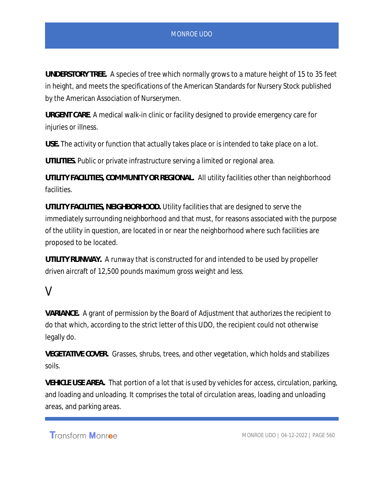*UNDERSTORY TREE.* A species of tree which normally grows to a mature height of 15 to 35 feet in height, and meets the specifications of the American Standards for Nursery Stock published by the American Association of Nurserymen.

*URGENT CARE*. A medical walk-in clinic or facility designed to provide emergency care for injuries or illness.

*USE.* The activity or function that actually takes place or is intended to take place on a lot.

*UTILITIES.* Public or private infrastructure serving a limited or regional area.

*UTILITY FACILITIES, COMMUNITY OR REGIONAL.* All utility facilities other than neighborhood facilities.

*UTILITY FACILITIES, NEIGHBORHOOD.* Utility facilities that are designed to serve the immediately surrounding neighborhood and that must, for reasons associated with the purpose of the utility in question, are located in or near the neighborhood where such facilities are proposed to be located.

*UTILITY RUNWAY.* A runway that is constructed for and intended to be used by propeller driven aircraft of 12,500 pounds maximum gross weight and less.

## V

*VARIANCE.* A grant of permission by the Board of Adjustment that authorizes the recipient to do that which, according to the strict letter of this UDO, the recipient could not otherwise legally do.

*VEGETATIVE COVER.* Grasses, shrubs, trees, and other vegetation, which holds and stabilizes soils.

*VEHICLE USE AREA.* That portion of a lot that is used by vehicles for access, circulation, parking, and loading and unloading. It comprises the total of circulation areas, loading and unloading areas, and parking areas.

Transform Monroe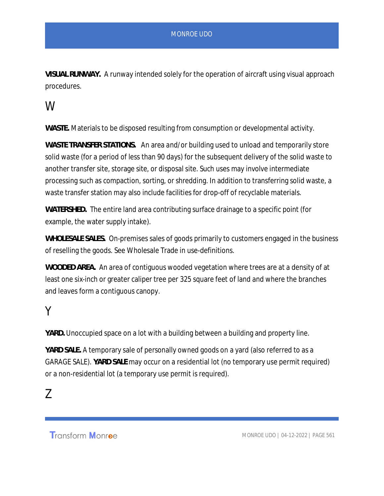*VISUAL RUNWAY.* A runway intended solely for the operation of aircraft using visual approach procedures.

## W

*WASTE.* Materials to be disposed resulting from consumption or developmental activity.

*WASTE TRANSFER STATIONS.* An area and/or building used to unload and temporarily store solid waste (for a period of less than 90 days) for the subsequent delivery of the solid waste to another transfer site, storage site, or disposal site. Such uses may involve intermediate processing such as compaction, sorting, or shredding. In addition to transferring solid waste, a waste transfer station may also include facilities for drop-off of recyclable materials.

*WATERSHED.* The entire land area contributing surface drainage to a specific point (for example, the water supply intake).

*WHOLESALE SALES.* On-premises sales of goods primarily to customers engaged in the business of reselling the goods. See Wholesale Trade in use-definitions.

*WOODED AREA.* An area of contiguous wooded vegetation where trees are at a density of at least one six-inch or greater caliper tree per 325 square feet of land and where the branches and leaves form a contiguous canopy.

## Y

*YARD.* Unoccupied space on a lot with a building between a building and property line.

*YARD SALE.* A temporary sale of personally owned goods on a yard (also referred to as a *GARAGE SALE*). *YARD SALE* may occur on a residential lot (no temporary use permit required) or a non-residential lot (a temporary use permit is required).

## Z